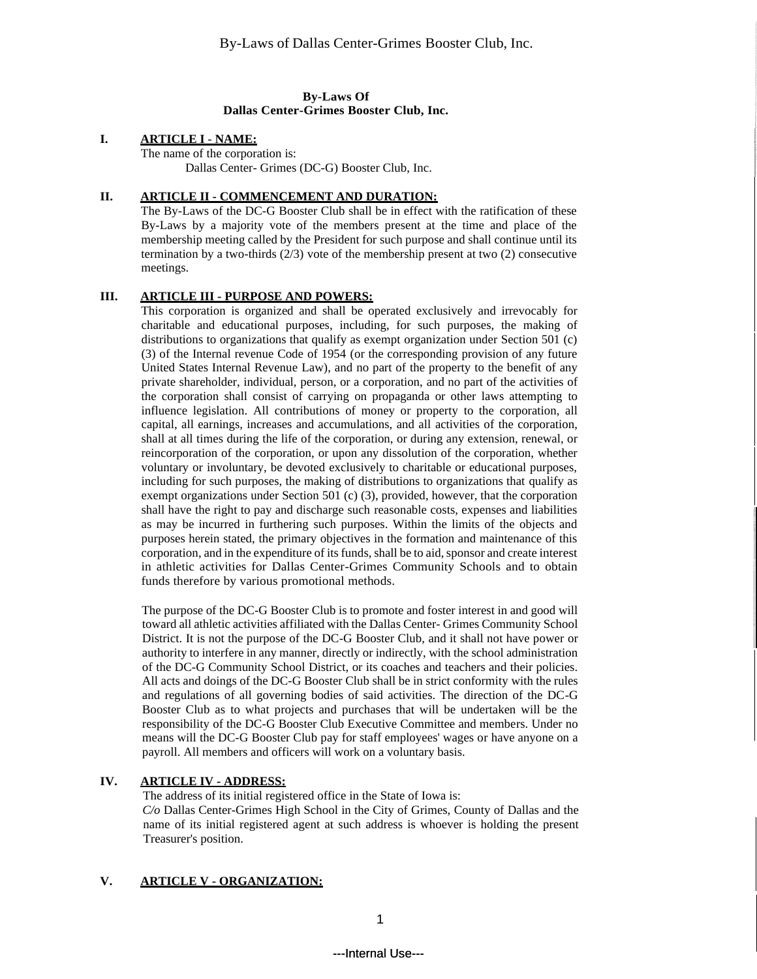## **By-Laws Of Dallas Center-Grimes Booster Club, Inc.**

## **I. ARTICLE I** - **NAME:**

The name of the corporation is: Dallas Center- Grimes (DC-G) Booster Club, Inc.

## **II. ARTICLE II - COMMENCEMENT AND DURATION:**

The By-Laws of the DC-G Booster Club shall be in effect with the ratification of these By-Laws by a majority vote of the members present at the time and place of the membership meeting called by the President for such purpose and shall continue until its termination by a two-thirds  $(2/3)$  vote of the membership present at two  $(2)$  consecutive meetings.

## **III. ARTICLE III - PURPOSE AND POWERS:**

This corporation is organized and shall be operated exclusively and irrevocably for charitable and educational purposes, including, for such purposes, the making of distributions to organizations that qualify as exempt organization under Section 501 (c) (3) of the Internal revenue Code of 1954 (or the corresponding provision of any future United States Internal Revenue Law), and no part of the property to the benefit of any private shareholder, individual, person, or a corporation, and no part of the activities of the corporation shall consist of carrying on propaganda or other laws attempting to influence legislation. All contributions of money or property to the corporation, all capital, all earnings, increases and accumulations, and all activities of the corporation, shall at all times during the life of the corporation, or during any extension, renewal, or reincorporation of the corporation, or upon any dissolution of the corporation, whether voluntary or involuntary, be devoted exclusively to charitable or educational purposes, including for such purposes, the making of distributions to organizations that qualify as exempt organizations under Section 501 (c) (3), provided, however, that the corporation shall have the right to pay and discharge such reasonable costs, expenses and liabilities as may be incurred in furthering such purposes. Within the limits of the objects and purposes herein stated, the primary objectives in the formation and maintenance of this corporation, and in the expenditure of its funds, shall be to aid, sponsor and create interest in athletic activities for Dallas Center-Grimes Community Schools and to obtain funds therefore by various promotional methods.

The purpose of the DC-G Booster Club is to promote and foster interest in and good will toward all athletic activities affiliated with the Dallas Center- Grimes Community School District. It is not the purpose of the DC-G Booster Club, and it shall not have power or authority to interfere in any manner, directly or indirectly, with the school administration of the DC-G Community School District, or its coaches and teachers and their policies. All acts and doings of the DC-G Booster Club shall be in strict conformity with the rules and regulations of all governing bodies of said activities. The direction of the DC-G Booster Club as to what projects and purchases that will be undertaken will be the responsibility of the DC-G Booster Club Executive Committee and members. Under no means will the DC-G Booster Club pay for staff employees' wages or have anyone on a payroll. All members and officers will work on a voluntary basis.

## **IV. ARTICLE IV - ADDRESS:**

The address of its initial registered office in the State of Iowa is: *C/o* Dallas Center-Grimes High School in the City of Grimes, County of Dallas and the name of its initial registered agent at such address is whoever is holding the present Treasurer's position.

## **V. ARTICLE V - ORGANIZATION:**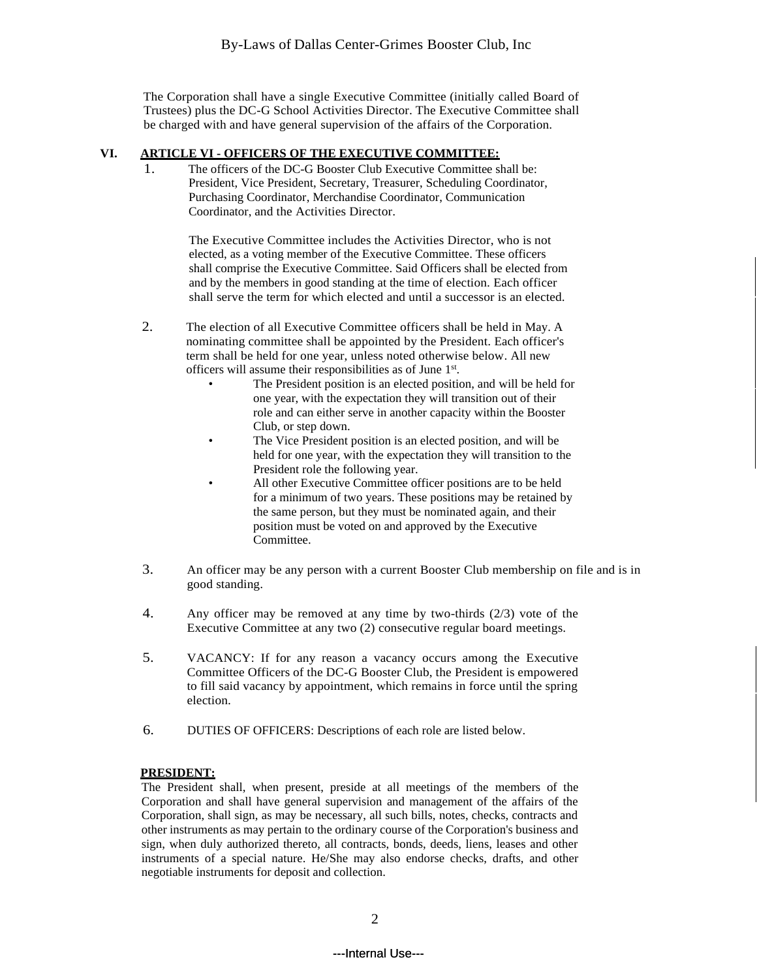The Corporation shall have a single Executive Committee (initially called Board of Trustees) plus the DC-G School Activities Director. The Executive Committee shall be charged with and have general supervision of the affairs of the Corporation.

## **VI. ARTICLE VI - OFFICERS OF THE EXECUTIVE COMMITTEE:**

1. The officers of the DC-G Booster Club Executive Committee shall be: President, Vice President, Secretary, Treasurer, Scheduling Coordinator, Purchasing Coordinator, Merchandise Coordinator, Communication Coordinator, and the Activities Director.

> The Executive Committee includes the Activities Director, who is not elected, as a voting member of the Executive Committee. These officers shall comprise the Executive Committee. Said Officers shall be elected from and by the members in good standing at the time of election. Each officer shall serve the term for which elected and until a successor is an elected.

- 2. The election of all Executive Committee officers shall be held in May. A nominating committee shall be appointed by the President. Each officer's term shall be held for one year, unless noted otherwise below. All new officers will assume their responsibilities as of June 1st.
	- The President position is an elected position, and will be held for one year, with the expectation they will transition out of their role and can either serve in another capacity within the Booster Club, or step down.
	- The Vice President position is an elected position, and will be held for one year, with the expectation they will transition to the President role the following year.
	- All other Executive Committee officer positions are to be held for a minimum of two years. These positions may be retained by the same person, but they must be nominated again, and their position must be voted on and approved by the Executive Committee.
- 3. An officer may be any person with a current Booster Club membership on file and is in good standing.
- 4. Any officer may be removed at any time by two-thirds (2/3) vote of the Executive Committee at any two (2) consecutive regular board meetings.
- 5. VACANCY: If for any reason a vacancy occurs among the Executive Committee Officers of the DC-G Booster Club, the President is empowered to fill said vacancy by appointment, which remains in force until the spring election.
- 6. DUTIES OF OFFICERS: Descriptions of each role are listed below.

#### **PRESIDENT:**

The President shall, when present, preside at all meetings of the members of the Corporation and shall have general supervision and management of the affairs of the Corporation, shall sign, as may be necessary, all such bills, notes, checks, contracts and other instruments as may pertain to the ordinary course of the Corporation's business and sign, when duly authorized thereto, all contracts, bonds, deeds, liens, leases and other instruments of a special nature. He/She may also endorse checks, drafts, and other negotiable instruments for deposit and collection.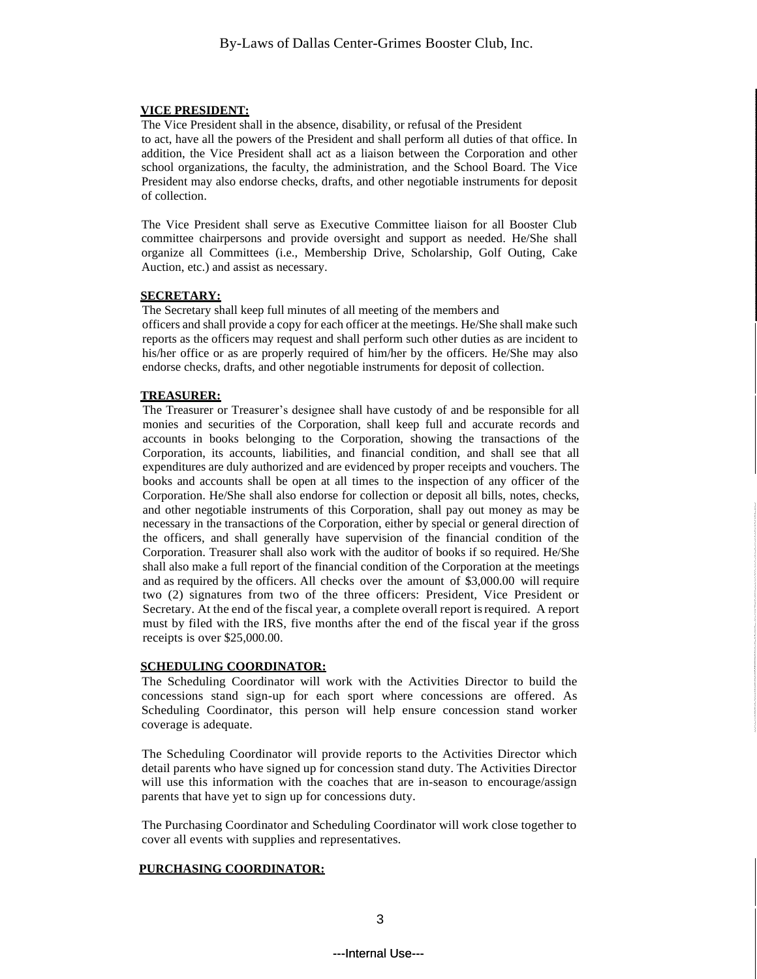#### **VICE PRESIDENT:**

The Vice President shall in the absence, disability, or refusal of the President to act, have all the powers of the President and shall perform all duties of that office. In addition, the Vice President shall act as a liaison between the Corporation and other school organizations, the faculty, the administration, and the School Board. The Vice President may also endorse checks, drafts, and other negotiable instruments for deposit of collection.

The Vice President shall serve as Executive Committee liaison for all Booster Club committee chairpersons and provide oversight and support as needed. He/She shall organize all Committees (i.e., Membership Drive, Scholarship, Golf Outing, Cake Auction, etc.) and assist as necessary.

#### **SECRETARY:**

The Secretary shall keep full minutes of all meeting of the members and officers and shall provide a copy for each officer at the meetings. He/She shall make such reports as the officers may request and shall perform such other duties as are incident to his/her office or as are properly required of him/her by the officers. He/She may also endorse checks, drafts, and other negotiable instruments for deposit of collection.

## **TREASURER:**

The Treasurer or Treasurer's designee shall have custody of and be responsible for all monies and securities of the Corporation, shall keep full and accurate records and accounts in books belonging to the Corporation, showing the transactions of the Corporation, its accounts, liabilities, and financial condition, and shall see that all expenditures are duly authorized and are evidenced by proper receipts and vouchers. The books and accounts shall be open at all times to the inspection of any officer of the Corporation. He/She shall also endorse for collection or deposit all bills, notes, checks, and other negotiable instruments of this Corporation, shall pay out money as may be necessary in the transactions of the Corporation, either by special or general direction of the officers, and shall generally have supervision of the financial condition of the Corporation. Treasurer shall also work with the auditor of books if so required. He/She shall also make a full report of the financial condition of the Corporation at the meetings and as required by the officers. All checks over the amount of \$3,000.00 will require two (2) signatures from two of the three officers: President, Vice President or Secretary. At the end of the fiscal year, a complete overall report isrequired. A report must by filed with the IRS, five months after the end of the fiscal year if the gross receipts is over \$25,000.00.

#### **SCHEDULING COORDINATOR:**

The Scheduling Coordinator will work with the Activities Director to build the concessions stand sign-up for each sport where concessions are offered. As Scheduling Coordinator, this person will help ensure concession stand worker coverage is adequate.

The Scheduling Coordinator will provide reports to the Activities Director which detail parents who have signed up for concession stand duty. The Activities Director will use this information with the coaches that are in-season to encourage/assign parents that have yet to sign up for concessions duty.

The Purchasing Coordinator and Scheduling Coordinator will work close together to cover all events with supplies and representatives.

#### **PURCHASING COORDINATOR:**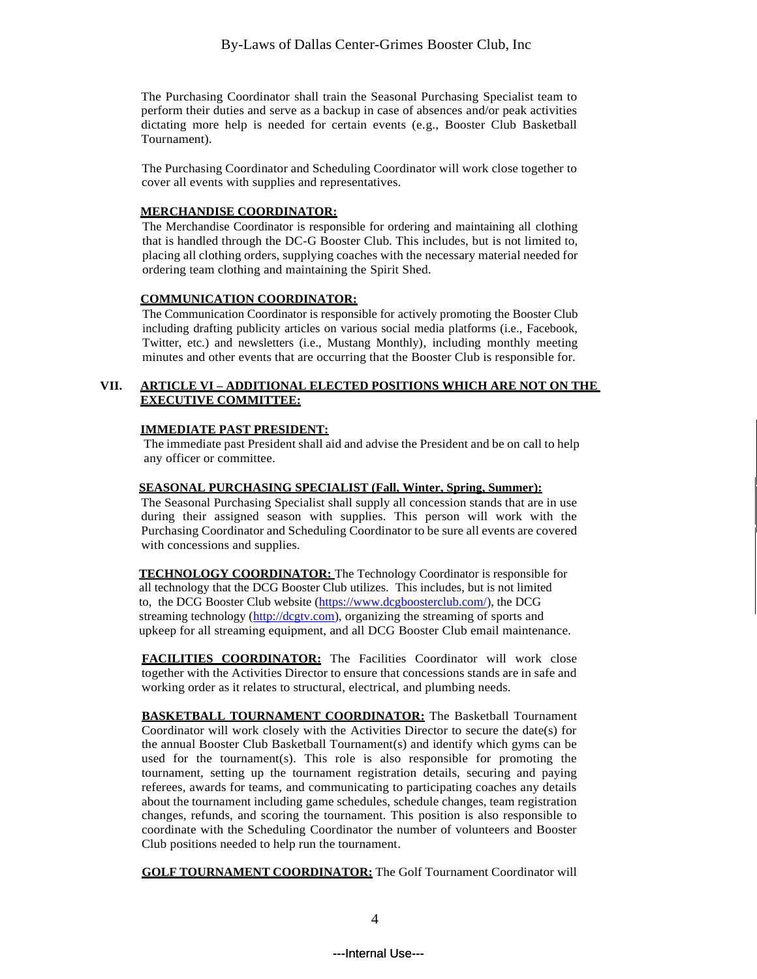The Purchasing Coordinator shall train the Seasonal Purchasing Specialist team to perform their duties and serve as a backup in case of absences and/or peak activities dictating more help is needed for certain events (e.g., Booster Club Basketball Tournament).

The Purchasing Coordinator and Scheduling Coordinator will work close together to cover all events with supplies and representatives.

#### **MERCHANDISE COORDINATOR:**

The Merchandise Coordinator is responsible for ordering and maintaining all clothing that is handled through the DC-G Booster Club. This includes, but is not limited to, placing all clothing orders, supplying coaches with the necessary material needed for ordering team clothing and maintaining the Spirit Shed.

## **COMMUNICATION COORDINATOR:**

The Communication Coordinator is responsible for actively promoting the Booster Club including drafting publicity articles on various social media platforms (i.e., Facebook, Twitter, etc.) and newsletters (i.e., Mustang Monthly), including monthly meeting minutes and other events that are occurring that the Booster Club is responsible for.

## **VII. ARTICLE VI – ADDITIONAL ELECTED POSITIONS WHICH ARE NOT ON THE EXECUTIVE COMMITTEE:**

## **IMMEDIATE PAST PRESIDENT:**

The immediate past President shall aid and advise the President and be on call to help any officer or committee.

## **SEASONAL PURCHASING SPECIALIST (Fall, Winter, Spring, Summer):**

The Seasonal Purchasing Specialist shall supply all concession stands that are in use during their assigned season with supplies. This person will work with the Purchasing Coordinator and Scheduling Coordinator to be sure all events are covered with concessions and supplies.

**TECHNOLOGY COORDINATOR:** The Technology Coordinator is responsible for all technology that the DCG Booster Club utilizes. This includes, but is not limited to, the DCG Booster Club website [\(https://www.dcgboosterclub.com/\)](https://urldefense.com/v3/__https:/www.dcgboosterclub.com/__;!!Eq8rgdkfa9r_yJvCTg!kVck5DIz_YpETvBpuzjn81Yzk1iCwLCWyPoHM-B9I9tiagtTBLXdKMez_5zKHmy42sA$), the DCG streaming technology [\(http://dcgtv.com\)](https://urldefense.com/v3/__http:/dcgtv.com__;!!Eq8rgdkfa9r_yJvCTg!kVck5DIz_YpETvBpuzjn81Yzk1iCwLCWyPoHM-B9I9tiagtTBLXdKMez_5zK2I8eYqM$), organizing the streaming of sports and upkeep for all streaming equipment, and all DCG Booster Club email maintenance.

**FACILITIES COORDINATOR:** The Facilities Coordinator will work close together with the Activities Director to ensure that concessions stands are in safe and working order as it relates to structural, electrical, and plumbing needs.

**BASKETBALL TOURNAMENT COORDINATOR:** The Basketball Tournament Coordinator will work closely with the Activities Director to secure the date(s) for the annual Booster Club Basketball Tournament(s) and identify which gyms can be used for the tournament(s). This role is also responsible for promoting the tournament, setting up the tournament registration details, securing and paying referees, awards for teams, and communicating to participating coaches any details about the tournament including game schedules, schedule changes, team registration changes, refunds, and scoring the tournament. This position is also responsible to coordinate with the Scheduling Coordinator the number of volunteers and Booster Club positions needed to help run the tournament.

**GOLF TOURNAMENT COORDINATOR:** The Golf Tournament Coordinator will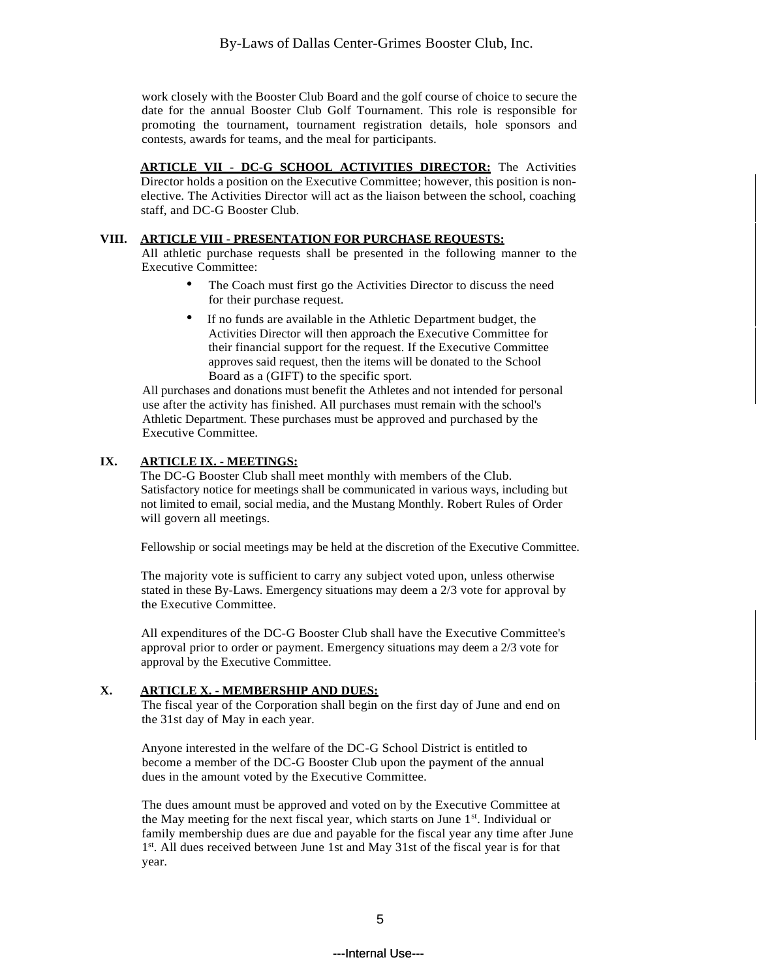work closely with the Booster Club Board and the golf course of choice to secure the date for the annual Booster Club Golf Tournament. This role is responsible for promoting the tournament, tournament registration details, hole sponsors and contests, awards for teams, and the meal for participants.

**ARTICLE VII - DC-G SCHOOL ACTIVITIES DIRECTOR:** The Activities Director holds a position on the Executive Committee; however, this position is nonelective. The Activities Director will act as the liaison between the school, coaching staff, and DC-G Booster Club.

#### **VIII. ARTICLE VIII - PRESENTATION FOR PURCHASE REQUESTS:**

All athletic purchase requests shall be presented in the following manner to the Executive Committee:

- The Coach must first go the Activities Director to discuss the need for their purchase request.
- If no funds are available in the Athletic Department budget, the Activities Director will then approach the Executive Committee for their financial support for the request. If the Executive Committee approves said request, then the items will be donated to the School Board as a (GIFT) to the specific sport.

All purchases and donations must benefit the Athletes and not intended for personal use after the activity has finished. All purchases must remain with the school's Athletic Department. These purchases must be approved and purchased by the Executive Committee.

## **IX. ARTICLE IX. - MEETINGS:**

The DC-G Booster Club shall meet monthly with members of the Club. Satisfactory notice for meetings shall be communicated in various ways, including but not limited to email, social media, and the Mustang Monthly. Robert Rules of Order will govern all meetings.

Fellowship or social meetings may be held at the discretion of the Executive Committee.

The majority vote is sufficient to carry any subject voted upon, unless otherwise stated in these By-Laws. Emergency situations may deem a 2/3 vote for approval by the Executive Committee.

All expenditures of the DC-G Booster Club shall have the Executive Committee's approval prior to order or payment. Emergency situations may deem a 2/3 vote for approval by the Executive Committee.

## **X. ARTICLE X. - MEMBERSHIP AND DUES:**

The fiscal year of the Corporation shall begin on the first day of June and end on the 31st day of May in each year.

Anyone interested in the welfare of the DC-G School District is entitled to become a member of the DC-G Booster Club upon the payment of the annual dues in the amount voted by the Executive Committee.

The dues amount must be approved and voted on by the Executive Committee at the May meeting for the next fiscal year, which starts on June 1st. Individual or family membership dues are due and payable for the fiscal year any time after June 1st. All dues received between June 1st and May 31st of the fiscal year is for that year.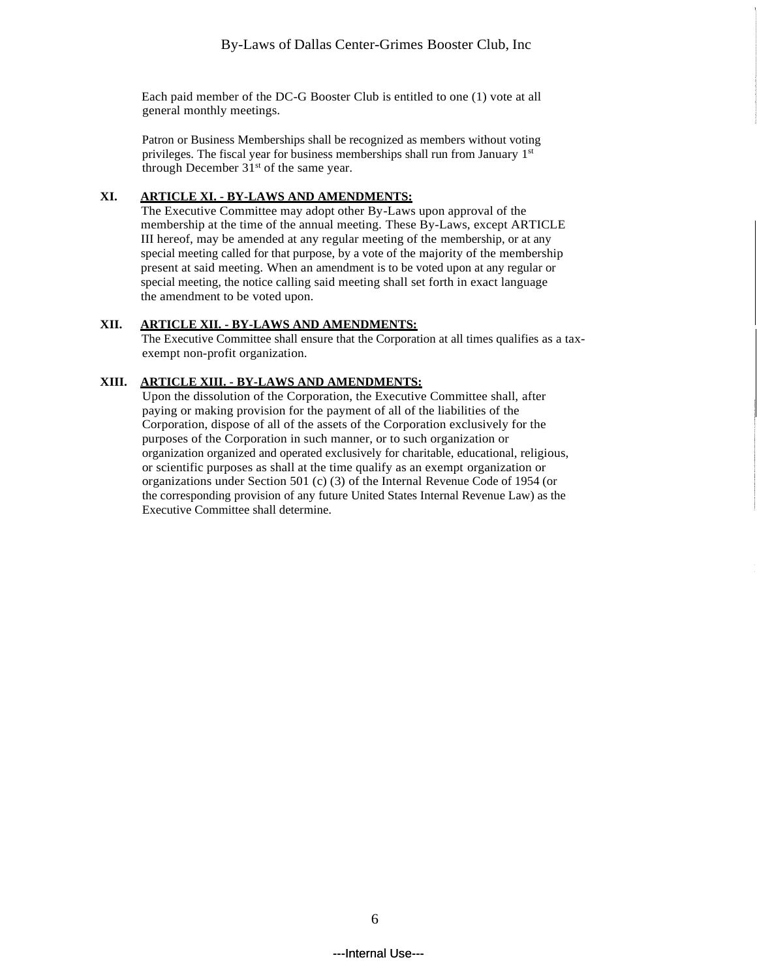Each paid member of the DC-G Booster Club is entitled to one (1) vote at all general monthly meetings.

Patron or Business Memberships shall be recognized as members without voting privileges. The fiscal year for business memberships shall run from January 1st through December  $31<sup>st</sup>$  of the same year.

## **XI. ARTICLE XI. - BY-LAWS AND AMENDMENTS:**

The Executive Committee may adopt other By-Laws upon approval of the membership at the time of the annual meeting. These By-Laws, except ARTICLE III hereof, may be amended at any regular meeting of the membership, or at any special meeting called for that purpose, by a vote of the majority of the membership present at said meeting. When an amendment is to be voted upon at any regular or special meeting, the notice calling said meeting shall set forth in exact language the amendment to be voted upon.

## **XII. ARTICLE XII. - BY-LAWS AND AMENDMENTS:**

The Executive Committee shall ensure that the Corporation at all times qualifies as a taxexempt non-profit organization.

## **XIII. ARTICLE XIII. - BY-LAWS AND AMENDMENTS:**

Upon the dissolution of the Corporation, the Executive Committee shall, after paying or making provision for the payment of all of the liabilities of the Corporation, dispose of all of the assets of the Corporation exclusively for the purposes of the Corporation in such manner, or to such organization or organization organized and operated exclusively for charitable, educational, religious, or scientific purposes as shall at the time qualify as an exempt organization or organizations under Section 501 (c) (3) of the Internal Revenue Code of 1954 (or the corresponding provision of any future United States Internal Revenue Law) as the Executive Committee shall determine.